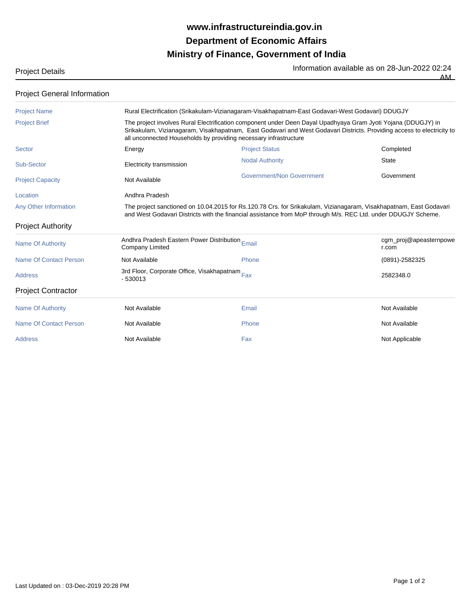## **Ministry of Finance, Government of India Department of Economic Affairs www.infrastructureindia.gov.in**

Project Details **Information available as on 28-Jun-2022 02:24**<br>The Information available as on 28-Jun-2022 02:24 AM

| <b>Project General Information</b> |                                                                                                                                                                                                                                                                                                             |                                  |                                 |  |
|------------------------------------|-------------------------------------------------------------------------------------------------------------------------------------------------------------------------------------------------------------------------------------------------------------------------------------------------------------|----------------------------------|---------------------------------|--|
| <b>Project Name</b>                | Rural Electrification (Srikakulam-Vizianagaram-Visakhapatnam-East Godavari-West Godavari) DDUGJY                                                                                                                                                                                                            |                                  |                                 |  |
| <b>Project Brief</b>               | The project involves Rural Electrification component under Deen Dayal Upadhyaya Gram Jyoti Yojana (DDUGJY) in<br>Srikakulam, Vizianagaram, Visakhapatnam, East Godavari and West Godavari Districts. Providing access to electricity to<br>all unconnected Households by providing necessary infrastructure |                                  |                                 |  |
| <b>Sector</b>                      | Energy                                                                                                                                                                                                                                                                                                      | <b>Project Status</b>            | Completed                       |  |
| Sub-Sector                         | Electricity transmission                                                                                                                                                                                                                                                                                    | <b>Nodal Authority</b>           | <b>State</b>                    |  |
| <b>Project Capacity</b>            | Not Available                                                                                                                                                                                                                                                                                               | <b>Government/Non Government</b> | Government                      |  |
| Location                           | Andhra Pradesh                                                                                                                                                                                                                                                                                              |                                  |                                 |  |
| Any Other Information              | The project sanctioned on 10.04.2015 for Rs.120.78 Crs. for Srikakulam, Vizianagaram, Visakhapatnam, East Godavari<br>and West Godavari Districts with the financial assistance from MoP through M/s. REC Ltd. under DDUGJY Scheme.                                                                         |                                  |                                 |  |
| <b>Project Authority</b>           |                                                                                                                                                                                                                                                                                                             |                                  |                                 |  |
| <b>Name Of Authority</b>           | Andhra Pradesh Eastern Power Distribution Email<br><b>Company Limited</b>                                                                                                                                                                                                                                   |                                  | cgm_proj@apeasternpowe<br>r.com |  |
| Name Of Contact Person             | Not Available                                                                                                                                                                                                                                                                                               | Phone                            | (0891)-2582325                  |  |
| <b>Address</b>                     | 3rd Floor, Corporate Office, Visakhapatnam Fax<br>$-530013$                                                                                                                                                                                                                                                 |                                  | 2582348.0                       |  |
| <b>Project Contractor</b>          |                                                                                                                                                                                                                                                                                                             |                                  |                                 |  |
| <b>Name Of Authority</b>           | Not Available                                                                                                                                                                                                                                                                                               | Email                            | Not Available                   |  |
| Name Of Contact Person             | Not Available                                                                                                                                                                                                                                                                                               | Phone                            | Not Available                   |  |
| <b>Address</b>                     | Not Available                                                                                                                                                                                                                                                                                               | Fax                              | Not Applicable                  |  |
|                                    |                                                                                                                                                                                                                                                                                                             |                                  |                                 |  |